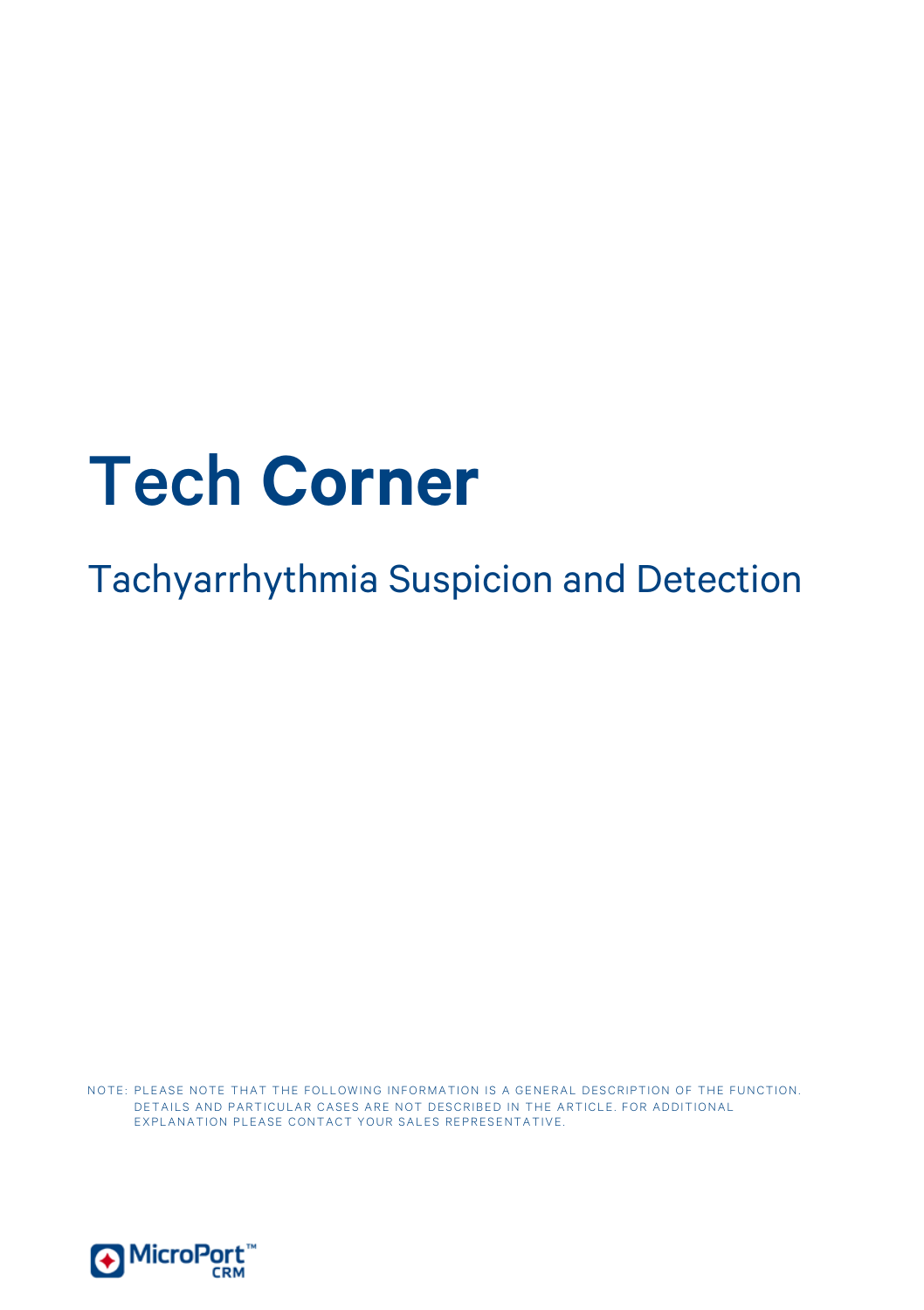# Tech **Corner**

Tachyarrhythmia Suspicion and Detection

NOTE: PLEASE NOTE THAT THE FOLLOWING INFORMATION IS A GENERAL DESCRIPTION OF THE FUNCTION. DETAILS AND PARTICULAR CASES ARE NOT DESCRIBED IN THE ARTICLE. FOR ADDITIONAL EXPLANATION PLEASE CONTACT YOUR SALES REPRESENTATIVE.

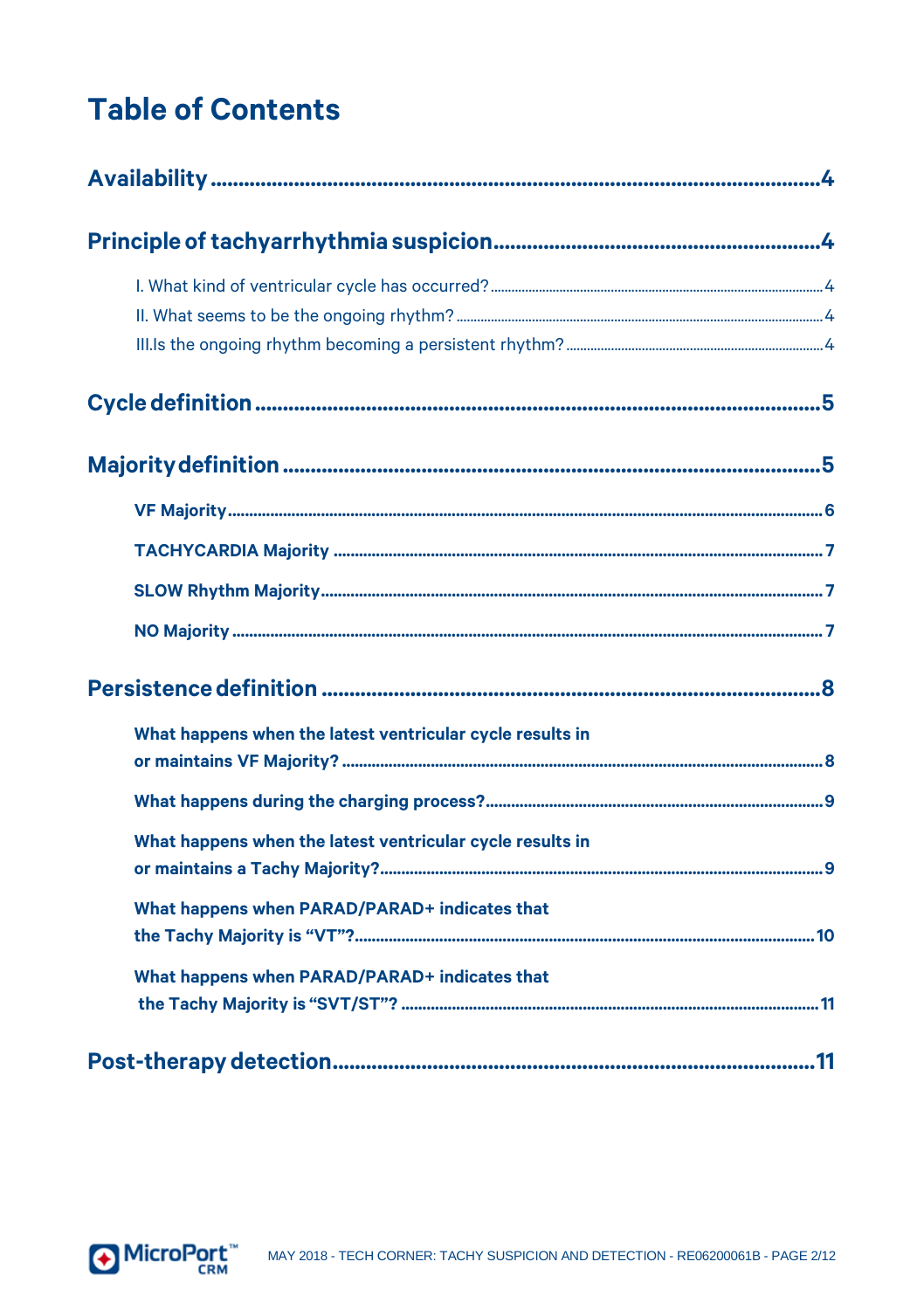# **Table of Contents**

| What happens when the latest ventricular cycle results in |  |
|-----------------------------------------------------------|--|
|                                                           |  |
| What happens when the latest ventricular cycle results in |  |
| What happens when PARAD/PARAD+ indicates that             |  |
| What happens when PARAD/PARAD+ indicates that             |  |
|                                                           |  |

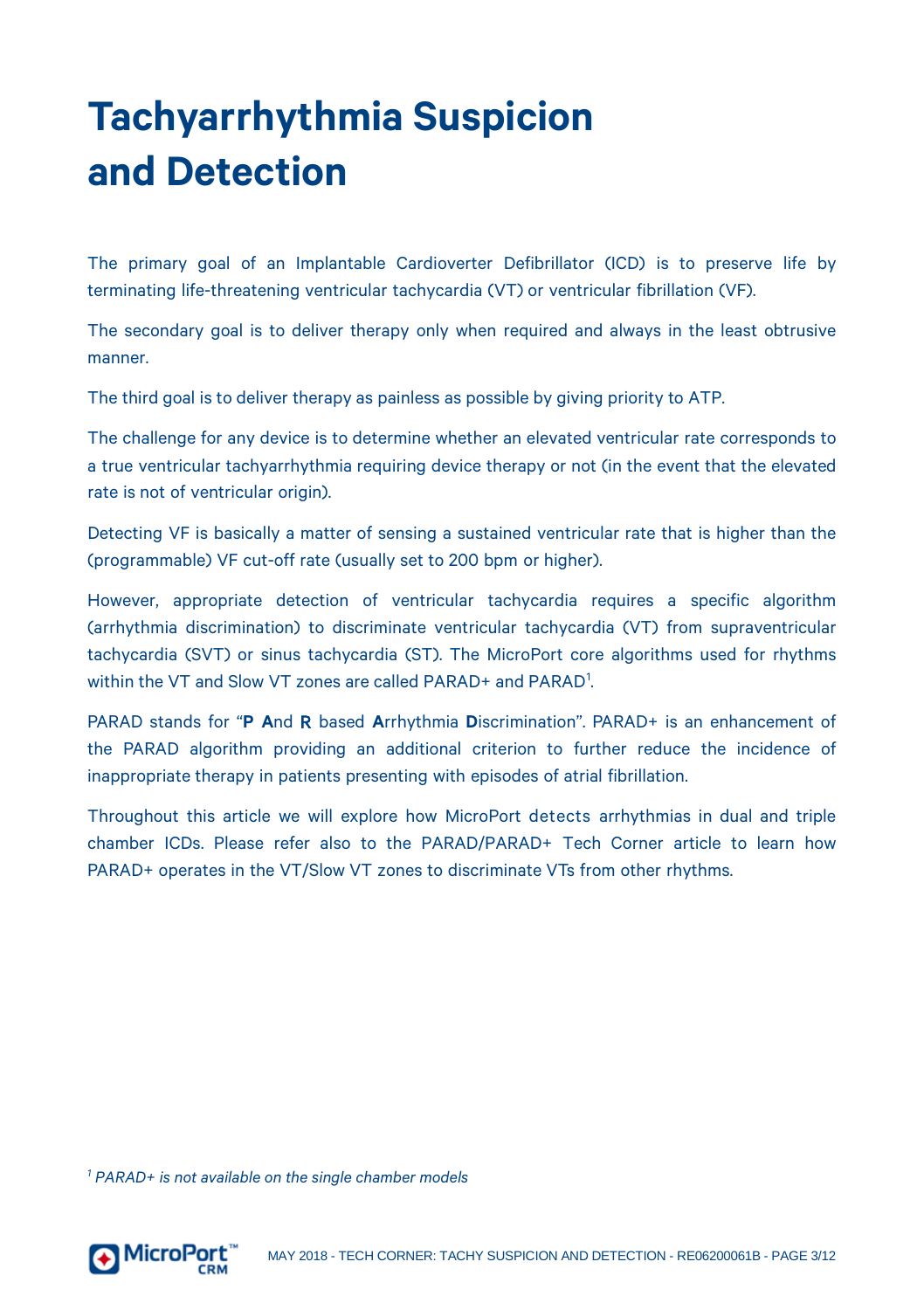# **Tachyarrhythmia Suspicion and Detection**

The primary goal of an Implantable Cardioverter Defibrillator (ICD) is to preserve life by terminating life-threatening ventricular tachycardia (VT) or ventricular fibrillation (VF).

The secondary goal is to deliver therapy only when required and always in the least obtrusive manner.

The third goal is to deliver therapy as painless as possible by giving priority to ATP.

The challenge for any device is to determine whether an elevated ventricular rate corresponds to a true ventricular tachyarrhythmia requiring device therapy or not (in the event that the elevated rate is not of ventricular origin).

Detecting VF is basically a matter of sensing a sustained ventricular rate that is higher than the (programmable) VF cut-off rate (usually set to 200 bpm or higher).

However, appropriate detection of ventricular tachycardia requires a specific algorithm (arrhythmia discrimination) to discriminate ventricular tachycardia (VT) from supraventricular tachycardia (SVT) or sinus tachycardia (ST). The MicroPort core algorithms used for rhythms within the VT and Slow VT zones are called PARAD+ and PARAD<sup>[1](#page-2-0)</sup> .

PARAD stands for "**P A**nd R based **A**rrhythmia **D**iscrimination". PARAD+ is an enhancement of the PARAD algorithm providing an additional criterion to further reduce the incidence of inappropriate therapy in patients presenting with episodes of atrial fibrillation.

Throughout this article we will explore how MicroPort detects arrhythmias in dual and triple chamber ICDs. Please refer also to the PARAD/PARAD+ Tech Corner article to learn how PARAD+ operates in the VT/Slow VT zones to discriminate VTs from other rhythms.

<span id="page-2-0"></span>*<sup>1</sup> PARAD+ is not available on the single chamber models*

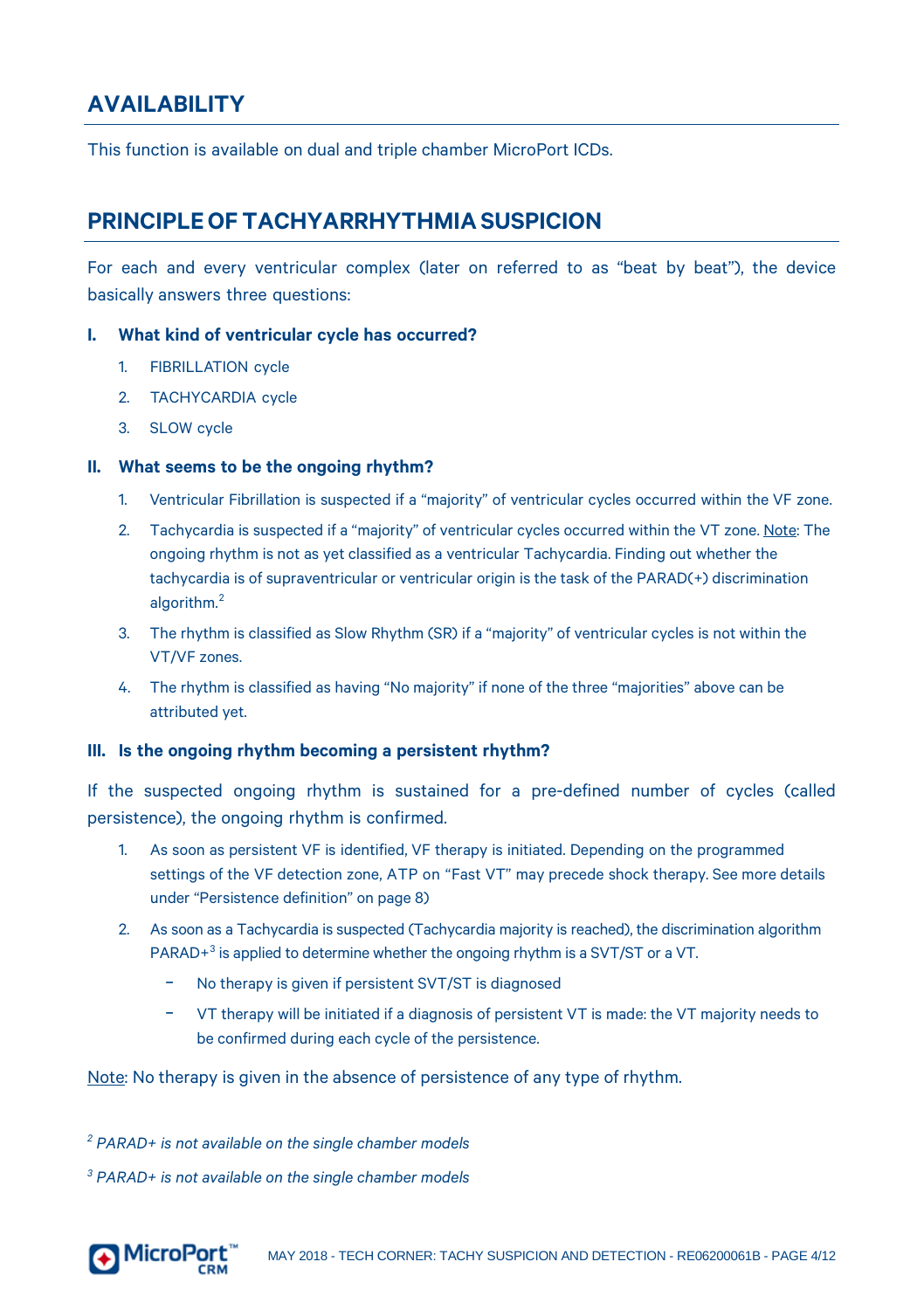#### <span id="page-3-0"></span>**AVAILABILITY**

<span id="page-3-1"></span>This function is available on dual and triple chamber MicroPort ICDs.

#### **PRINCIPLEOF TACHYARRHYTHMIASUSPICION**

For each and every ventricular complex (later on referred to as "beat by beat"), the device basically answers three questions:

#### <span id="page-3-2"></span>**I. What kind of ventricular cycle has occurred?**

- 1. FIBRILLATION cycle
- 2. TACHYCARDIA cycle
- 3. SLOW cycle

#### <span id="page-3-3"></span>**II. What seems to be the ongoing rhythm?**

- 1. Ventricular Fibrillation is suspected if a "majority" of ventricular cycles occurred within the VF zone.
- 2. Tachycardia is suspected if a "majority" of ventricular cycles occurred within the VT zone. Note: The ongoing rhythm is not as yet classified as a ventricular Tachycardia. Finding out whether the tachycardia is of supraventricular or ventricular origin is the task of the PARAD(+) discrimination algorithm.[2](#page-3-5)
- 3. The rhythm is classified as Slow Rhythm (SR) if a "majority" of ventricular cycles is not within the VT/VF zones.
- 4. The rhythm is classified as having "No majority" if none of the three "majorities" above can be attributed yet.

#### <span id="page-3-4"></span>**III. Is the ongoing rhythm becoming a persistent rhythm?**

If the suspected ongoing rhythm is sustained for a pre-defined number of cycles (called persistence), the ongoing rhythm is confirmed.

- 1. As soon as persistent VF is identified, VF therapy is initiated. Depending on the programmed settings of the VF detection zone, ATP on "Fast VT" may precede shock therapy. See more details under "Persistence definition" on pag[e 8\)](#page-7-0)
- 2. As soon as a Tachycardia is suspected (Tachycardia majority is reached), the discrimination algorithm PARAD<sup>+[3](#page-3-6)</sup> is applied to determine whether the ongoing rhythm is a SVT/ST or a VT.
	- No therapy is given if persistent SVT/ST is diagnosed
	- − VT therapy will be initiated if a diagnosis of persistent VT is made: the VT majority needs to be confirmed during each cycle of the persistence.

Note: No therapy is given in the absence of persistence of any type of rhythm.

<span id="page-3-5"></span>*<sup>2</sup> PARAD+ is not available on the single chamber models*

<span id="page-3-6"></span>*<sup>3</sup> PARAD+ is not available on the single chamber models*

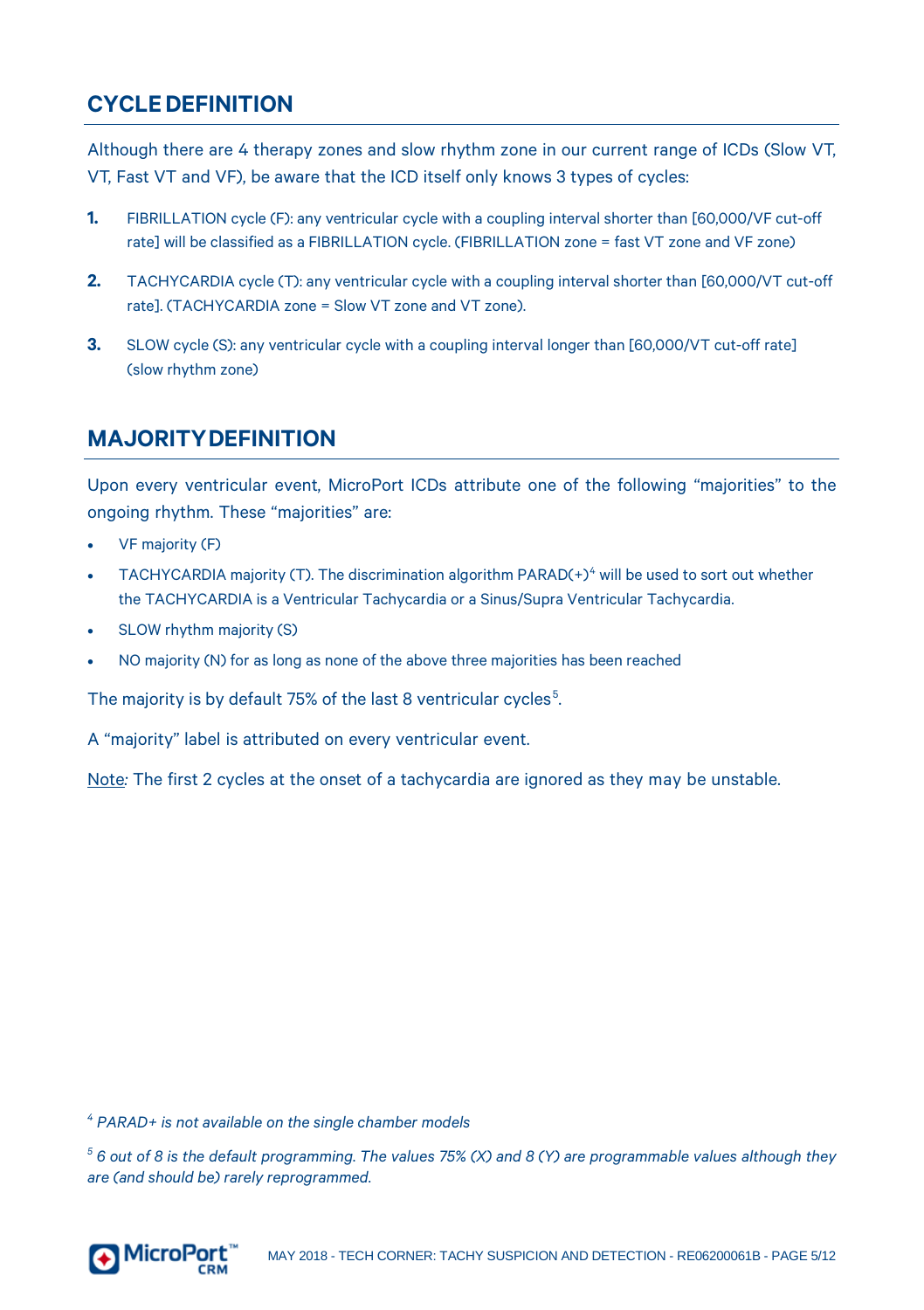#### <span id="page-4-0"></span>**CYCLEDEFINITION**

Although there are 4 therapy zones and slow rhythm zone in our current range of ICDs (Slow VT, VT, Fast VT and VF), be aware that the ICD itself only knows 3 types of cycles:

- **1.** FIBRILLATION cycle (F): any ventricular cycle with a coupling interval shorter than [60,000/VF cut-off rate] will be classified as a FIBRILLATION cycle. (FIBRILLATION zone = fast VT zone and VF zone)
- **2.** TACHYCARDIA cycle (T): any ventricular cycle with a coupling interval shorter than [60,000/VT cut-off rate]. (TACHYCARDIA zone = Slow VT zone and VT zone).
- <span id="page-4-1"></span>**3.** SLOW cycle (S): any ventricular cycle with a coupling interval longer than [60,000/VT cut-off rate] (slow rhythm zone)

#### **MAJORITYDEFINITION**

Upon every ventricular event, MicroPort ICDs attribute one of the following "majorities" to the ongoing rhythm. These "majorities" are:

- VF majority (F)
- TACHYCARDIA majority (T). The discrimination algorithm PARAD(+)<sup>[4](#page-4-2)</sup> will be used to sort out whether the TACHYCARDIA is a Ventricular Tachycardia or a Sinus/Supra Ventricular Tachycardia.
- SLOW rhythm majority (S)
- NO majority (N) for as long as none of the above three majorities has been reached

The majority is by default 7[5](#page-4-3)% of the last 8 ventricular cycles<sup>5</sup>. .

A "majority" label is attributed on every ventricular event.

Note*:* The first 2 cycles at the onset of a tachycardia are ignored as they may be unstable.

<span id="page-4-2"></span>*<sup>4</sup> PARAD+ is not available on the single chamber models*

<span id="page-4-3"></span>*<sup>5</sup> 6 out of 8 is the default programming. The values 75% (X) and 8 (Y) are programmable values although they are (and should be) rarely reprogrammed.* 

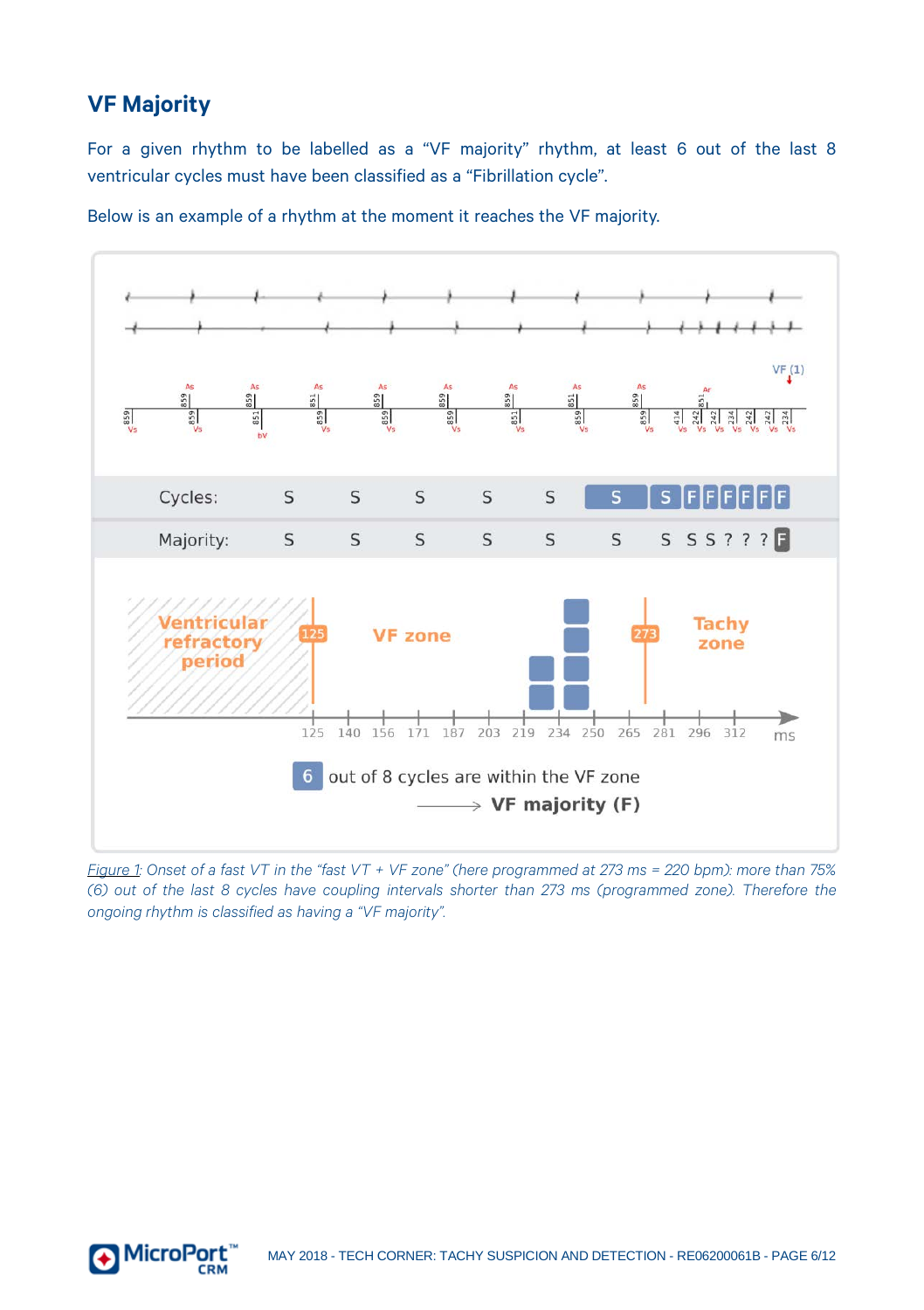#### <span id="page-5-0"></span>**VF Majority**

For a given rhythm to be labelled as a "VF majority" rhythm, at least 6 out of the last 8 ventricular cycles must have been classified as a "Fibrillation cycle".

Below is an example of a rhythm at the moment it reaches the VF majority.



Figure 1: Onset of a fast VT in the "fast VT + VF zone" (here programmed at 273 ms = 220 bpm); more than 75% *(6) out of the last 8 cycles have coupling intervals shorter than 273 ms (programmed zone). Therefore the ongoing rhythm is classified as having a "VF majority".*

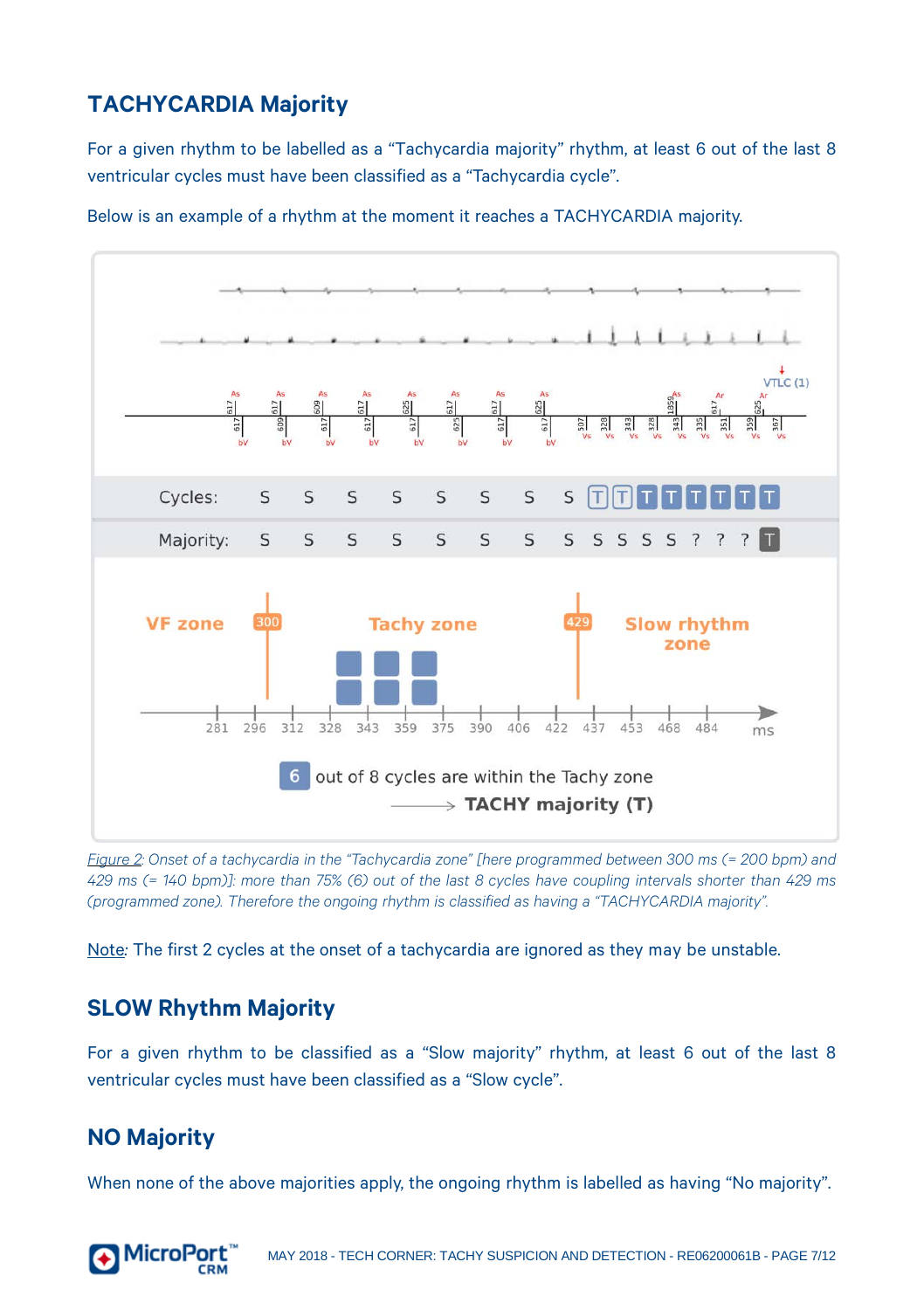### <span id="page-6-0"></span>**TACHYCARDIA Majority**

For a given rhythm to be labelled as a "Tachycardia majority" rhythm, at least 6 out of the last 8 ventricular cycles must have been classified as a "Tachycardia cycle".



Below is an example of a rhythm at the moment it reaches a TACHYCARDIA majority.

*Figure 2: Onset of a tachycardia in the "Tachycardia zone" [here programmed between 300 ms (= 200 bpm) and*  429 ms (= 140 bpm)]: more than 75% (6) out of the last 8 cycles have coupling intervals shorter than 429 ms *(programmed zone). Therefore the ongoing rhythm is classified as having a "TACHYCARDIA majority".*

Note*:* The first 2 cycles at the onset of a tachycardia are ignored as they may be unstable.

#### <span id="page-6-1"></span>**SLOW Rhythm Majority**

For a given rhythm to be classified as a "Slow majority" rhythm, at least 6 out of the last 8 ventricular cycles must have been classified as a "Slow cycle".

#### <span id="page-6-2"></span>**NO Majority**

When none of the above majorities apply, the ongoing rhythm is labelled as having "No majority".

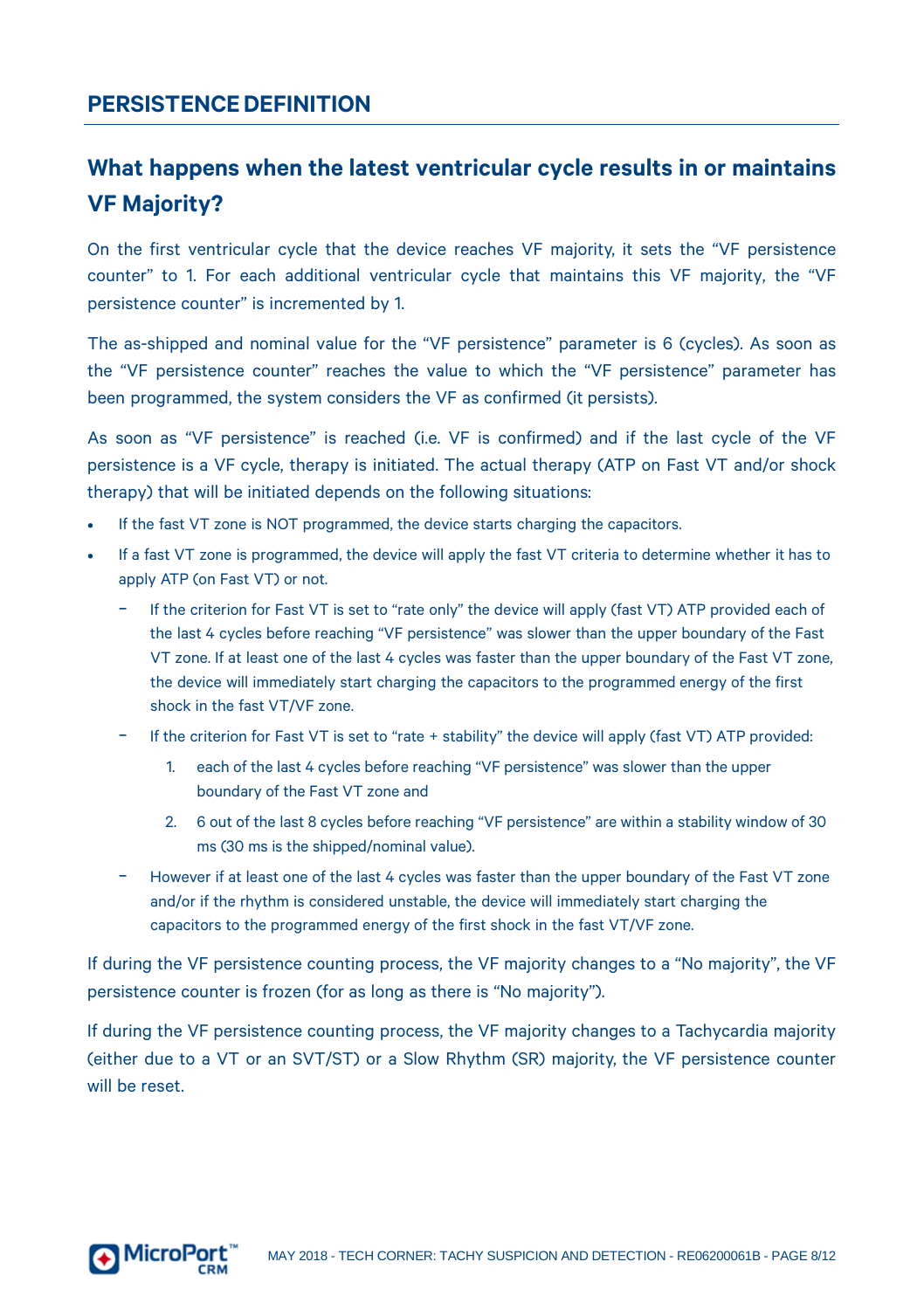#### <span id="page-7-0"></span>**PERSISTENCEDEFINITION**

## <span id="page-7-1"></span>**What happens when the latest ventricular cycle results in or maintains VF Majority?**

On the first ventricular cycle that the device reaches VF majority, it sets the "VF persistence counter" to 1. For each additional ventricular cycle that maintains this VF majority, the "VF persistence counter" is incremented by 1.

The as-shipped and nominal value for the "VF persistence" parameter is 6 (cycles). As soon as the "VF persistence counter" reaches the value to which the "VF persistence" parameter has been programmed, the system considers the VF as confirmed (it persists).

As soon as "VF persistence" is reached (i.e. VF is confirmed) and if the last cycle of the VF persistence is a VF cycle, therapy is initiated. The actual therapy (ATP on Fast VT and/or shock therapy) that will be initiated depends on the following situations:

- If the fast VT zone is NOT programmed, the device starts charging the capacitors.
- If a fast VT zone is programmed, the device will apply the fast VT criteria to determine whether it has to apply ATP (on Fast VT) or not.
	- If the criterion for Fast VT is set to "rate only" the device will apply (fast VT) ATP provided each of the last 4 cycles before reaching "VF persistence" was slower than the upper boundary of the Fast VT zone. If at least one of the last 4 cycles was faster than the upper boundary of the Fast VT zone, the device will immediately start charging the capacitors to the programmed energy of the first shock in the fast VT/VF zone.
	- − If the criterion for Fast VT is set to "rate + stability" the device will apply (fast VT) ATP provided:
		- 1. each of the last 4 cycles before reaching "VF persistence" was slower than the upper boundary of the Fast VT zone and
		- 2. 6 out of the last 8 cycles before reaching "VF persistence" are within a stability window of 30 ms (30 ms is the shipped/nominal value).
	- − However if at least one of the last 4 cycles was faster than the upper boundary of the Fast VT zone and/or if the rhythm is considered unstable, the device will immediately start charging the capacitors to the programmed energy of the first shock in the fast VT/VF zone.

If during the VF persistence counting process, the VF majority changes to a "No majority", the VF persistence counter is frozen (for as long as there is "No majority").

If during the VF persistence counting process, the VF majority changes to a Tachycardia majority (either due to a VT or an SVT/ST) or a Slow Rhythm (SR) majority, the VF persistence counter will be reset.

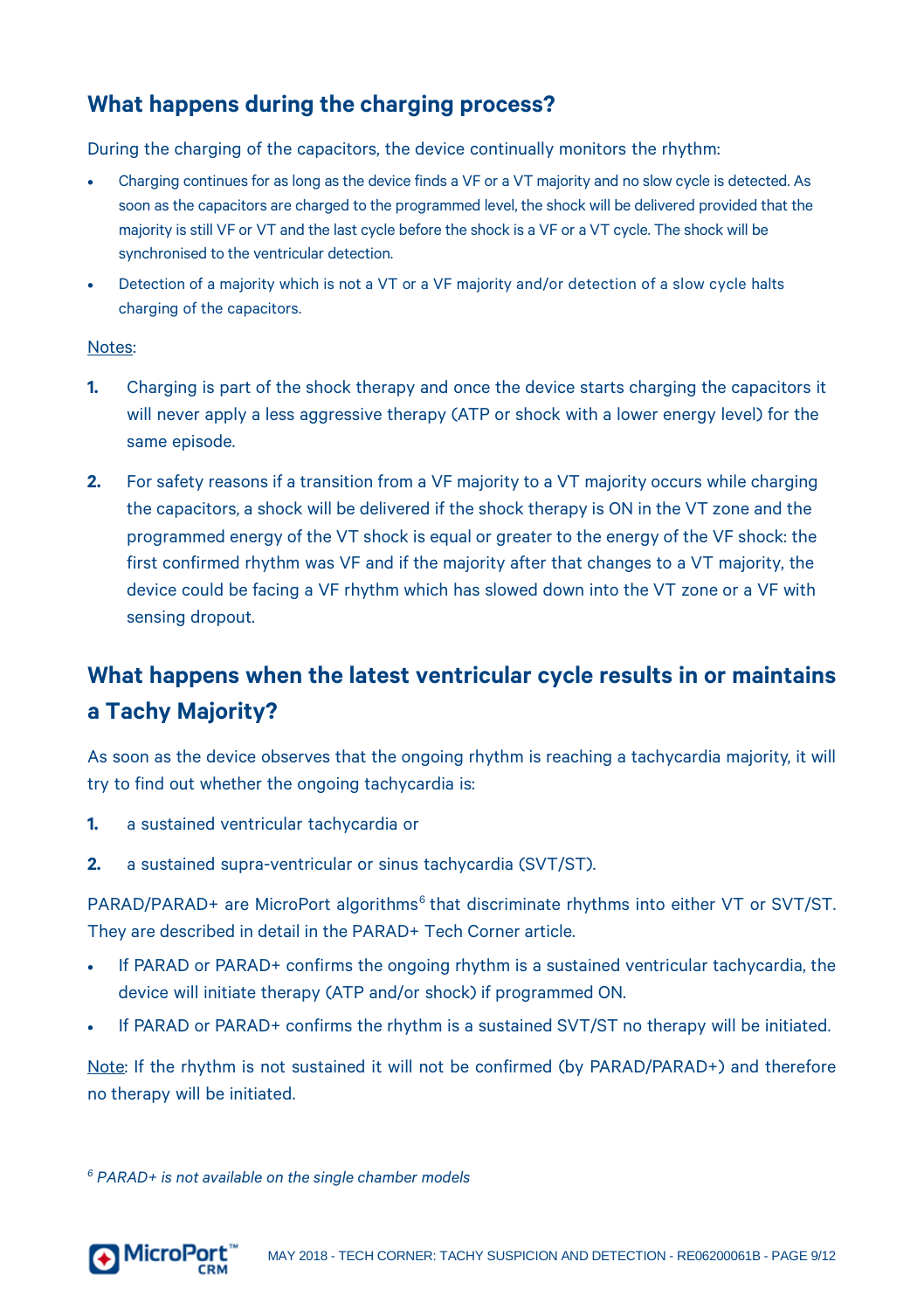#### <span id="page-8-0"></span>**What happens during the charging process?**

During the charging of the capacitors, the device continually monitors the rhythm:

- Charging continues for as long as the device finds a VF or a VT majority and no slow cycle is detected. As soon as the capacitors are charged to the programmed level, the shock will be delivered provided that the majority is still VF or VT and the last cycle before the shock is a VF or a VT cycle. The shock will be synchronised to the ventricular detection.
- Detection of a majority which is not a VT or a VF majority and/or detection of a slow cycle halts charging of the capacitors.

#### Notes:

- **1.** Charging is part of the shock therapy and once the device starts charging the capacitors it will never apply a less aggressive therapy (ATP or shock with a lower energy level) for the same episode.
- **2.** For safety reasons if a transition from a VF majority to a VT majority occurs while charging the capacitors, a shock will be delivered if the shock therapy is ON in the VT zone and the programmed energy of the VT shock is equal or greater to the energy of the VF shock: the first confirmed rhythm was VF and if the majority after that changes to a VT majority, the device could be facing a VF rhythm which has slowed down into the VT zone or a VF with sensing dropout.

# <span id="page-8-1"></span>**What happens when the latest ventricular cycle results in or maintains a Tachy Majority?**

As soon as the device observes that the ongoing rhythm is reaching a tachycardia majority, it will try to find out whether the ongoing tachycardia is:

- **1.** a sustained ventricular tachycardia or
- **2.** a sustained supra-ventricular or sinus tachycardia (SVT/ST).

PARAD/PARAD+ are MicroPort algorithms<sup>[6](#page-8-2)</sup> that discriminate rhythms into either VT or SVT/ST. They are described in detail in the PARAD+ Tech Corner article.

- If PARAD or PARAD+ confirms the ongoing rhythm is a sustained ventricular tachycardia, the device will initiate therapy (ATP and/or shock) if programmed ON.
- If PARAD or PARAD+ confirms the rhythm is a sustained SVT/ST no therapy will be initiated.

Note: If the rhythm is not sustained it will not be confirmed (by PARAD/PARAD+) and therefore no therapy will be initiated.

<span id="page-8-2"></span>*<sup>6</sup> PARAD+ is not available on the single chamber models*

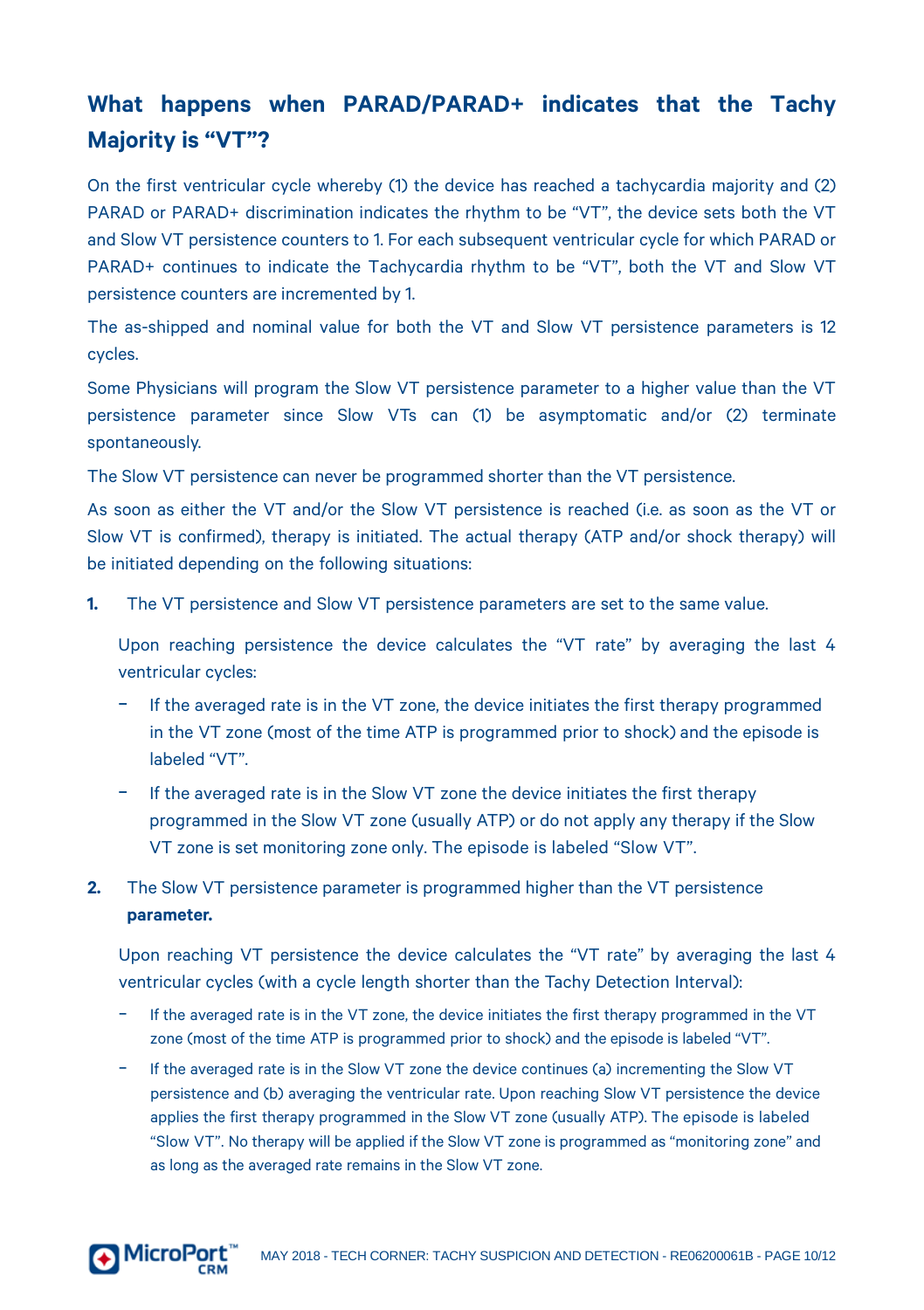# <span id="page-9-0"></span>**What happens when PARAD/PARAD+ indicates that the Tachy Majority is "VT"?**

On the first ventricular cycle whereby (1) the device has reached a tachycardia majority and (2) PARAD or PARAD+ discrimination indicates the rhythm to be "VT", the device sets both the VT and Slow VT persistence counters to 1. For each subsequent ventricular cycle for which PARAD or PARAD+ continues to indicate the Tachycardia rhythm to be "VT", both the VT and Slow VT persistence counters are incremented by 1.

The as-shipped and nominal value for both the VT and Slow VT persistence parameters is 12 cycles.

Some Physicians will program the Slow VT persistence parameter to a higher value than the VT persistence parameter since Slow VTs can (1) be asymptomatic and/or (2) terminate spontaneously.

The Slow VT persistence can never be programmed shorter than the VT persistence.

As soon as either the VT and/or the Slow VT persistence is reached (i.e. as soon as the VT or Slow VT is confirmed), therapy is initiated. The actual therapy (ATP and/or shock therapy) will be initiated depending on the following situations:

**1.** The VT persistence and Slow VT persistence parameters are set to the same value.

Upon reaching persistence the device calculates the "VT rate" by averaging the last 4 ventricular cycles:

- − If the averaged rate is in the VT zone, the device initiates the first therapy programmed in the VT zone (most of the time ATP is programmed prior to shock) and the episode is labeled "VT".
- − If the averaged rate is in the Slow VT zone the device initiates the first therapy programmed in the Slow VT zone (usually ATP) or do not apply any therapy if the Slow VT zone is set monitoring zone only. The episode is labeled "Slow VT".
- **2.** The Slow VT persistence parameter is programmed higher than the VT persistence **parameter.**

Upon reaching VT persistence the device calculates the "VT rate" by averaging the last 4 ventricular cycles (with a cycle length shorter than the Tachy Detection Interval):

- − If the averaged rate is in the VT zone, the device initiates the first therapy programmed in the VT zone (most of the time ATP is programmed prior to shock) and the episode is labeled "VT".
- − If the averaged rate is in the Slow VT zone the device continues (a) incrementing the Slow VT persistence and (b) averaging the ventricular rate. Upon reaching Slow VT persistence the device applies the first therapy programmed in the Slow VT zone (usually ATP). The episode is labeled "Slow VT". No therapy will be applied if the Slow VT zone is programmed as "monitoring zone" and as long as the averaged rate remains in the Slow VT zone.

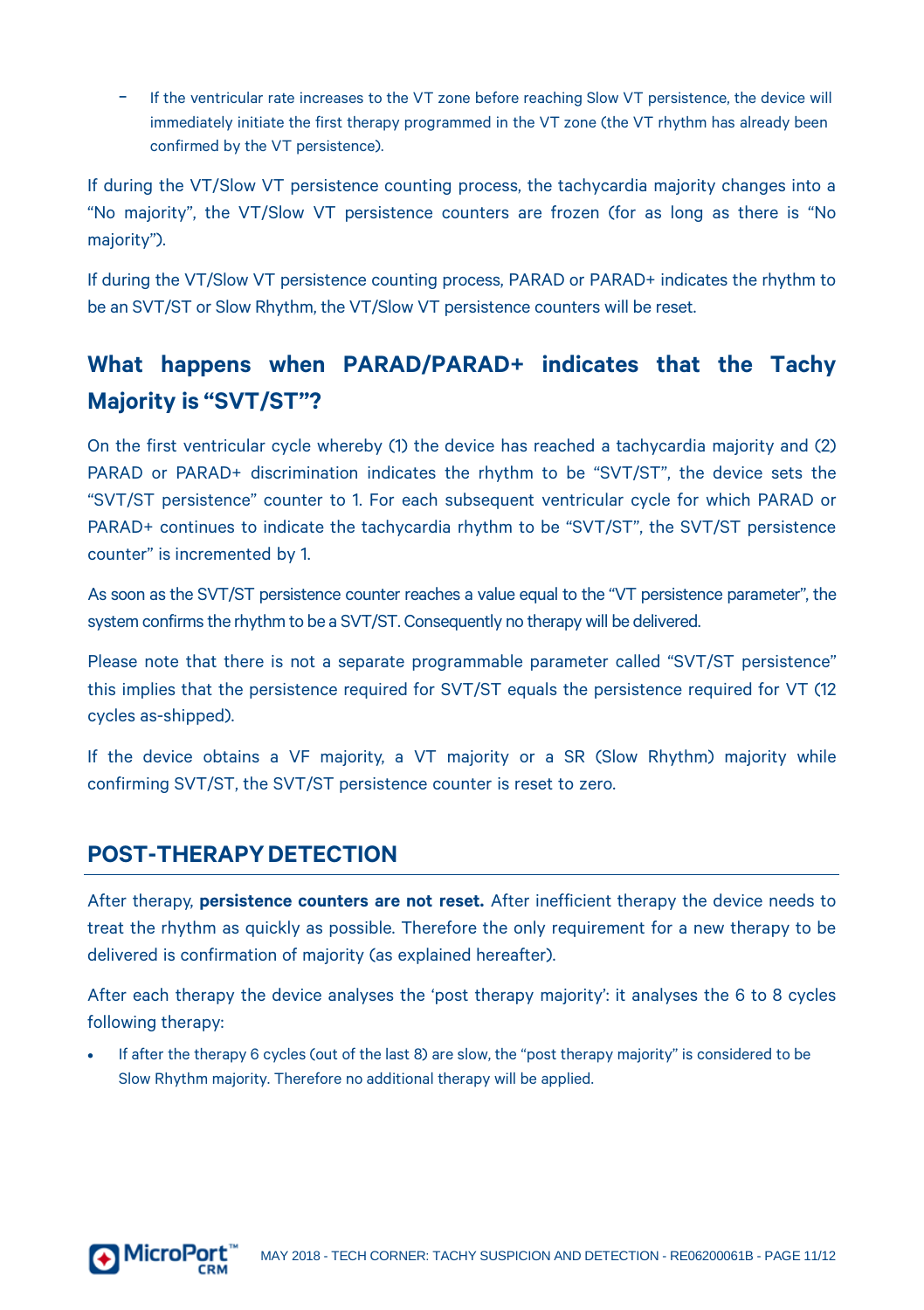− If the ventricular rate increases to the VT zone before reaching Slow VT persistence, the device will immediately initiate the first therapy programmed in the VT zone (the VT rhythm has already been confirmed by the VT persistence).

If during the VT/Slow VT persistence counting process, the tachycardia majority changes into a "No majority", the VT/Slow VT persistence counters are frozen (for as long as there is "No majority").

If during the VT/Slow VT persistence counting process, PARAD or PARAD+ indicates the rhythm to be an SVT/ST or Slow Rhythm, the VT/Slow VT persistence counters will be reset.

# <span id="page-10-0"></span>**What happens when PARAD/PARAD+ indicates that the Tachy Majority is "SVT/ST"?**

On the first ventricular cycle whereby (1) the device has reached a tachycardia majority and (2) PARAD or PARAD+ discrimination indicates the rhythm to be "SVT/ST", the device sets the "SVT/ST persistence" counter to 1. For each subsequent ventricular cycle for which PARAD or PARAD+ continues to indicate the tachycardia rhythm to be "SVT/ST", the SVT/ST persistence counter" is incremented by 1.

As soon as the SVT/ST persistence counter reaches a value equal to the "VT persistence parameter", the system confirms the rhythm to be a SVT/ST. Consequently no therapy will be delivered.

Please note that there is not a separate programmable parameter called "SVT/ST persistence" this implies that the persistence required for SVT/ST equals the persistence required for VT (12 cycles as-shipped).

If the device obtains a VF majority, a VT majority or a SR (Slow Rhythm) majority while confirming SVT/ST, the SVT/ST persistence counter is reset to zero.

#### <span id="page-10-1"></span>**POST-THERAPYDETECTION**

After therapy, **persistence counters are not reset.** After inefficient therapy the device needs to treat the rhythm as quickly as possible. Therefore the only requirement for a new therapy to be delivered is confirmation of majority (as explained hereafter).

After each therapy the device analyses the 'post therapy majority': it analyses the 6 to 8 cycles following therapy:

• If after the therapy 6 cycles (out of the last 8) are slow, the "post therapy majority" is considered to be Slow Rhythm majority. Therefore no additional therapy will be applied.